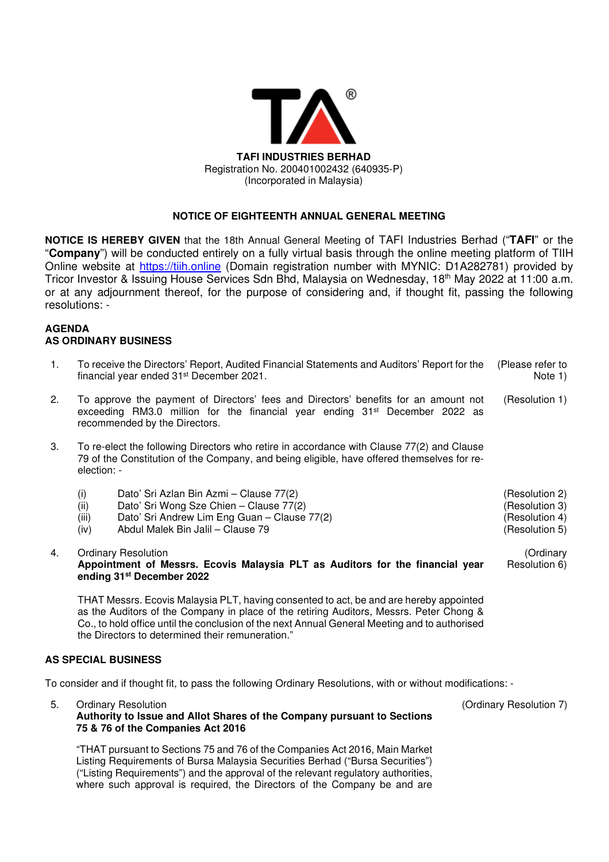

# **NOTICE OF EIGHTEENTH ANNUAL GENERAL MEETING**

**NOTICE IS HEREBY GIVEN** that the 18th Annual General Meeting of TAFI Industries Berhad ("**TAFI**" or the "**Company**") will be conducted entirely on a fully virtual basis through the online meeting platform of TIIH Online website at https://tiih.online (Domain registration number with MYNIC: D1A282781) provided by Tricor Investor & Issuing House Services Sdn Bhd, Malaysia on Wednesday, 18th May 2022 at 11:00 a.m. or at any adjournment thereof, for the purpose of considering and, if thought fit, passing the following resolutions: -

## **AGENDA AS ORDINARY BUSINESS**

- 1. To receive the Directors' Report, Audited Financial Statements and Auditors' Report for the financial year ended 31st December 2021. (Please refer to Note 1)
- 2. To approve the payment of Directors' fees and Directors' benefits for an amount not exceeding RM3.0 million for the financial year ending  $31<sup>st</sup>$  December 2022 as recommended by the Directors. (Resolution 1)
- 3. To re-elect the following Directors who retire in accordance with Clause 77(2) and Clause 79 of the Constitution of the Company, and being eligible, have offered themselves for reelection: -
	- (i) Dato' Sri Azlan Bin Azmi Clause 77(2) (Resolution 2)
	- (ii) Dato' Sri Wong Sze Chien Clause 77(2) (Resolution 3)
	- (iii) Dato' Sri Andrew Lim Eng Guan Clause 77(2) (Resolution 4)
	- (iv) Abdul Malek Bin Jalil Clause 79 (Resolution 5)
- 4. Ordinary Resolution **Appointment of Messrs. Ecovis Malaysia PLT as Auditors for the financial year ending 31st December 2022**

THAT Messrs. Ecovis Malaysia PLT, having consented to act, be and are hereby appointed as the Auditors of the Company in place of the retiring Auditors, Messrs. Peter Chong & Co., to hold office until the conclusion of the next Annual General Meeting and to authorised the Directors to determined their remuneration."

## **AS SPECIAL BUSINESS**

To consider and if thought fit, to pass the following Ordinary Resolutions, with or without modifications: -

5. Ordinary Resolution

# **Authority to Issue and Allot Shares of the Company pursuant to Sections 75 & 76 of the Companies Act 2016**

"THAT pursuant to Sections 75 and 76 of the Companies Act 2016, Main Market Listing Requirements of Bursa Malaysia Securities Berhad ("Bursa Securities") ("Listing Requirements") and the approval of the relevant regulatory authorities, where such approval is required, the Directors of the Company be and are (Ordinary Resolution 7)

(Ordinary Resolution 6)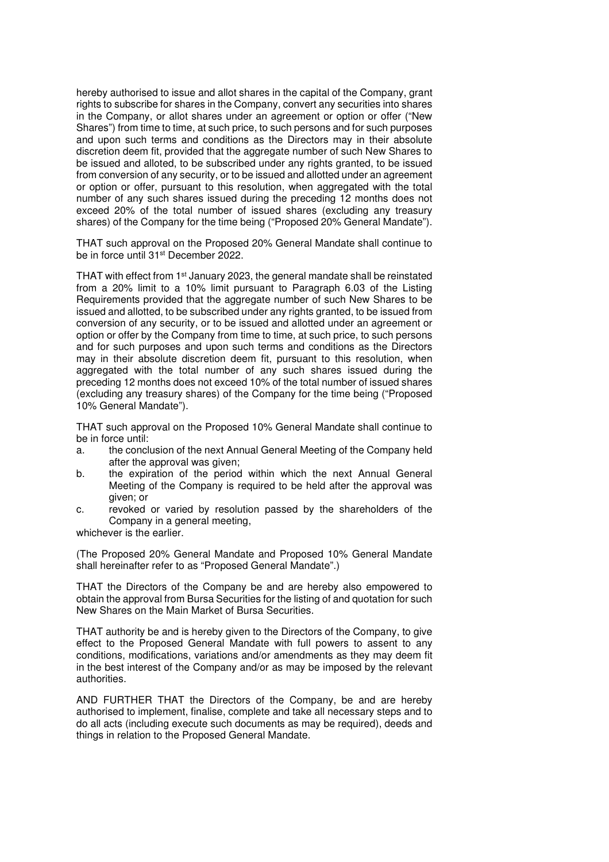hereby authorised to issue and allot shares in the capital of the Company, grant rights to subscribe for shares in the Company, convert any securities into shares in the Company, or allot shares under an agreement or option or offer ("New Shares") from time to time, at such price, to such persons and for such purposes and upon such terms and conditions as the Directors may in their absolute discretion deem fit, provided that the aggregate number of such New Shares to be issued and alloted, to be subscribed under any rights granted, to be issued from conversion of any security, or to be issued and allotted under an agreement or option or offer, pursuant to this resolution, when aggregated with the total number of any such shares issued during the preceding 12 months does not exceed 20% of the total number of issued shares (excluding any treasury shares) of the Company for the time being ("Proposed 20% General Mandate").

THAT such approval on the Proposed 20% General Mandate shall continue to be in force until 31st December 2022.

THAT with effect from 1st January 2023, the general mandate shall be reinstated from a 20% limit to a 10% limit pursuant to Paragraph 6.03 of the Listing Requirements provided that the aggregate number of such New Shares to be issued and allotted, to be subscribed under any rights granted, to be issued from conversion of any security, or to be issued and allotted under an agreement or option or offer by the Company from time to time, at such price, to such persons and for such purposes and upon such terms and conditions as the Directors may in their absolute discretion deem fit, pursuant to this resolution, when aggregated with the total number of any such shares issued during the preceding 12 months does not exceed 10% of the total number of issued shares (excluding any treasury shares) of the Company for the time being ("Proposed 10% General Mandate").

THAT such approval on the Proposed 10% General Mandate shall continue to be in force until:

- a. the conclusion of the next Annual General Meeting of the Company held after the approval was given;
- b. the expiration of the period within which the next Annual General Meeting of the Company is required to be held after the approval was given; or
- c. revoked or varied by resolution passed by the shareholders of the Company in a general meeting,

whichever is the earlier.

(The Proposed 20% General Mandate and Proposed 10% General Mandate shall hereinafter refer to as "Proposed General Mandate".)

THAT the Directors of the Company be and are hereby also empowered to obtain the approval from Bursa Securities for the listing of and quotation for such New Shares on the Main Market of Bursa Securities.

THAT authority be and is hereby given to the Directors of the Company, to give effect to the Proposed General Mandate with full powers to assent to any conditions, modifications, variations and/or amendments as they may deem fit in the best interest of the Company and/or as may be imposed by the relevant authorities.

AND FURTHER THAT the Directors of the Company, be and are hereby authorised to implement, finalise, complete and take all necessary steps and to do all acts (including execute such documents as may be required), deeds and things in relation to the Proposed General Mandate.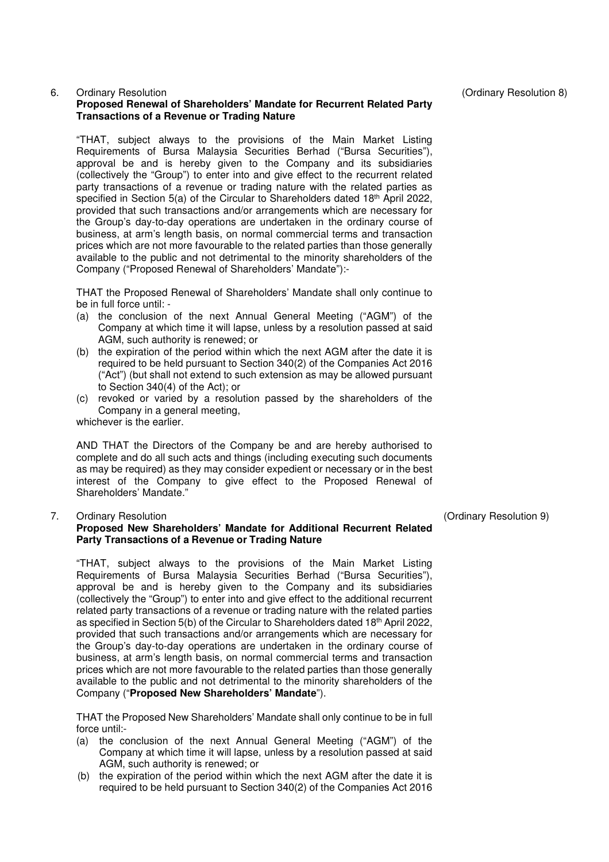## 6. Ordinary Resolution

## **Proposed Renewal of Shareholders' Mandate for Recurrent Related Party Transactions of a Revenue or Trading Nature**

"THAT, subject always to the provisions of the Main Market Listing Requirements of Bursa Malaysia Securities Berhad ("Bursa Securities"), approval be and is hereby given to the Company and its subsidiaries (collectively the "Group") to enter into and give effect to the recurrent related party transactions of a revenue or trading nature with the related parties as specified in Section 5(a) of the Circular to Shareholders dated 18th April 2022, provided that such transactions and/or arrangements which are necessary for the Group's day-to-day operations are undertaken in the ordinary course of business, at arm's length basis, on normal commercial terms and transaction prices which are not more favourable to the related parties than those generally available to the public and not detrimental to the minority shareholders of the Company ("Proposed Renewal of Shareholders' Mandate"):-

THAT the Proposed Renewal of Shareholders' Mandate shall only continue to be in full force until: -

- (a) the conclusion of the next Annual General Meeting ("AGM") of the Company at which time it will lapse, unless by a resolution passed at said AGM, such authority is renewed; or
- (b) the expiration of the period within which the next AGM after the date it is required to be held pursuant to Section 340(2) of the Companies Act 2016 ("Act") (but shall not extend to such extension as may be allowed pursuant to Section 340(4) of the Act); or
- (c) revoked or varied by a resolution passed by the shareholders of the Company in a general meeting,

whichever is the earlier.

AND THAT the Directors of the Company be and are hereby authorised to complete and do all such acts and things (including executing such documents as may be required) as they may consider expedient or necessary or in the best interest of the Company to give effect to the Proposed Renewal of Shareholders' Mandate."

#### 7. Ordinary Resolution

#### **Proposed New Shareholders' Mandate for Additional Recurrent Related Party Transactions of a Revenue or Trading Nature**

"THAT, subject always to the provisions of the Main Market Listing Requirements of Bursa Malaysia Securities Berhad ("Bursa Securities"), approval be and is hereby given to the Company and its subsidiaries (collectively the "Group") to enter into and give effect to the additional recurrent related party transactions of a revenue or trading nature with the related parties as specified in Section 5(b) of the Circular to Shareholders dated 18th April 2022, provided that such transactions and/or arrangements which are necessary for the Group's day-to-day operations are undertaken in the ordinary course of business, at arm's length basis, on normal commercial terms and transaction prices which are not more favourable to the related parties than those generally available to the public and not detrimental to the minority shareholders of the Company ("**Proposed New Shareholders' Mandate**").

THAT the Proposed New Shareholders' Mandate shall only continue to be in full force until:-

- (a) the conclusion of the next Annual General Meeting ("AGM") of the Company at which time it will lapse, unless by a resolution passed at said AGM, such authority is renewed; or
- (b) the expiration of the period within which the next AGM after the date it is required to be held pursuant to Section 340(2) of the Companies Act 2016

(Ordinary Resolution 8)

(Ordinary Resolution 9)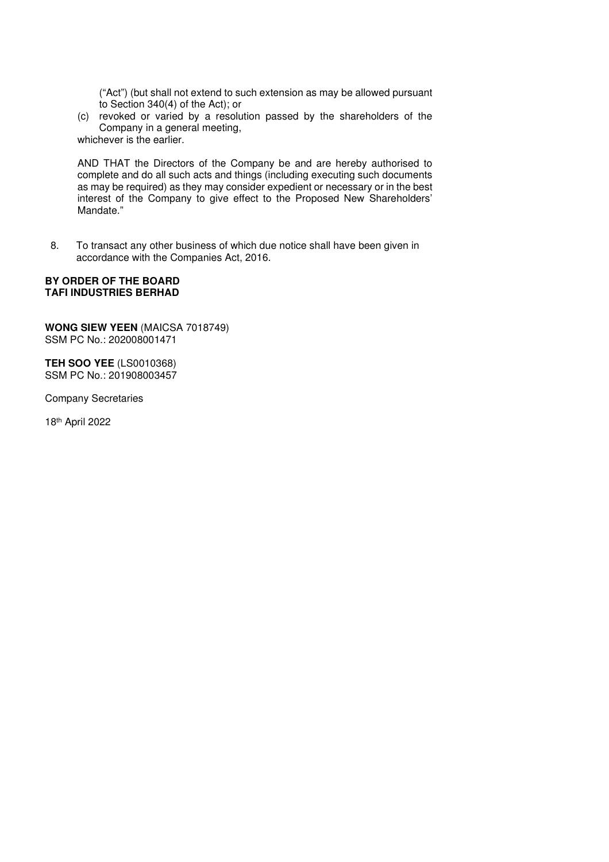("Act") (but shall not extend to such extension as may be allowed pursuant to Section 340(4) of the Act); or

(c) revoked or varied by a resolution passed by the shareholders of the Company in a general meeting,

whichever is the earlier.

AND THAT the Directors of the Company be and are hereby authorised to complete and do all such acts and things (including executing such documents as may be required) as they may consider expedient or necessary or in the best interest of the Company to give effect to the Proposed New Shareholders' Mandate."

8. To transact any other business of which due notice shall have been given in accordance with the Companies Act, 2016.

#### **BY ORDER OF THE BOARD TAFI INDUSTRIES BERHAD**

**WONG SIEW YEEN** (MAICSA 7018749) SSM PC No.: 202008001471

**TEH SOO YEE** (LS0010368) SSM PC No.: 201908003457

Company Secretaries

18th April 2022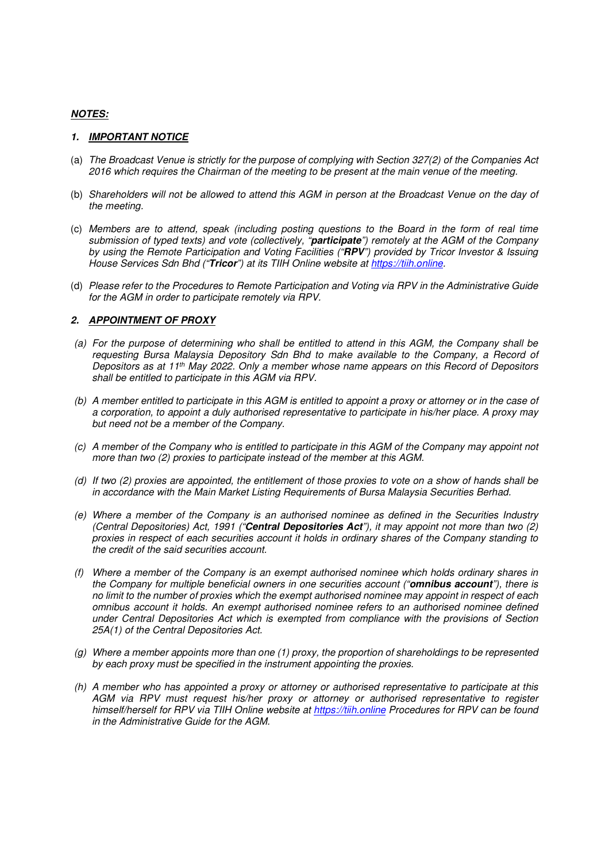## *NOTES:*

#### *1. IMPORTANT NOTICE*

- (a) *The Broadcast Venue is strictly for the purpose of complying with Section 327(2) of the Companies Act 2016 which requires the Chairman of the meeting to be present at the main venue of the meeting.*
- (b) *Shareholders will not be allowed to attend this AGM in person at the Broadcast Venue on the day of the meeting.*
- (c) *Members are to attend, speak (including posting questions to the Board in the form of real time submission of typed texts) and vote (collectively, "participate") remotely at the AGM of the Company by using the Remote Participation and Voting Facilities ("RPV") provided by Tricor Investor & Issuing House Services Sdn Bhd ("Tricor") at its TIIH Online website at https://tiih.online.*
- (d) *Please refer to the Procedures to Remote Participation and Voting via RPV in the Administrative Guide for the AGM in order to participate remotely via RPV.*

#### *2. APPOINTMENT OF PROXY*

- *(a) For the purpose of determining who shall be entitled to attend in this AGM, the Company shall be requesting Bursa Malaysia Depository Sdn Bhd to make available to the Company, a Record of Depositors as at 11th May 2022. Only a member whose name appears on this Record of Depositors shall be entitled to participate in this AGM via RPV.*
- *(b) A member entitled to participate in this AGM is entitled to appoint a proxy or attorney or in the case of a corporation, to appoint a duly authorised representative to participate in his/her place. A proxy may but need not be a member of the Company.*
- *(c) A member of the Company who is entitled to participate in this AGM of the Company may appoint not more than two (2) proxies to participate instead of the member at this AGM.*
- *(d) If two (2) proxies are appointed, the entitlement of those proxies to vote on a show of hands shall be in accordance with the Main Market Listing Requirements of Bursa Malaysia Securities Berhad.*
- *(e) Where a member of the Company is an authorised nominee as defined in the Securities Industry (Central Depositories) Act, 1991 ("Central Depositories Act"), it may appoint not more than two (2) proxies in respect of each securities account it holds in ordinary shares of the Company standing to the credit of the said securities account.*
- *(f) Where a member of the Company is an exempt authorised nominee which holds ordinary shares in the Company for multiple beneficial owners in one securities account ("omnibus account"), there is no limit to the number of proxies which the exempt authorised nominee may appoint in respect of each omnibus account it holds. An exempt authorised nominee refers to an authorised nominee defined under Central Depositories Act which is exempted from compliance with the provisions of Section 25A(1) of the Central Depositories Act.*
- *(g) Where a member appoints more than one (1) proxy, the proportion of shareholdings to be represented by each proxy must be specified in the instrument appointing the proxies.*
- *(h) A member who has appointed a proxy or attorney or authorised representative to participate at this AGM via RPV must request his/her proxy or attorney or authorised representative to register himself/herself for RPV via TIIH Online website at https://tiih.online Procedures for RPV can be found in the Administrative Guide for the AGM.*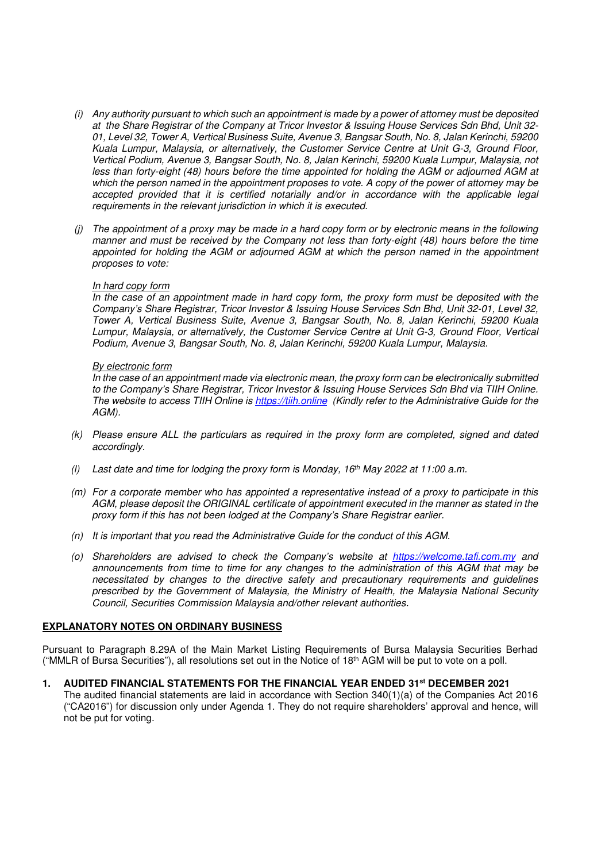- *(i) Any authority pursuant to which such an appointment is made by a power of attorney must be deposited at the Share Registrar of the Company at Tricor Investor & Issuing House Services Sdn Bhd, Unit 32- 01, Level 32, Tower A, Vertical Business Suite, Avenue 3, Bangsar South, No. 8, Jalan Kerinchi, 59200 Kuala Lumpur, Malaysia, or alternatively, the Customer Service Centre at Unit G-3, Ground Floor, Vertical Podium, Avenue 3, Bangsar South, No. 8, Jalan Kerinchi, 59200 Kuala Lumpur, Malaysia, not less than forty-eight (48) hours before the time appointed for holding the AGM or adjourned AGM at which the person named in the appointment proposes to vote. A copy of the power of attorney may be accepted provided that it is certified notarially and/or in accordance with the applicable legal requirements in the relevant jurisdiction in which it is executed.*
- *(j) The appointment of a proxy may be made in a hard copy form or by electronic means in the following manner and must be received by the Company not less than forty-eight (48) hours before the time appointed for holding the AGM or adjourned AGM at which the person named in the appointment proposes to vote:*

#### *In hard copy form*

*In the case of an appointment made in hard copy form, the proxy form must be deposited with the Company's Share Registrar, Tricor Investor & Issuing House Services Sdn Bhd, Unit 32-01, Level 32, Tower A, Vertical Business Suite, Avenue 3, Bangsar South, No. 8, Jalan Kerinchi, 59200 Kuala Lumpur, Malaysia, or alternatively, the Customer Service Centre at Unit G-3, Ground Floor, Vertical Podium, Avenue 3, Bangsar South, No. 8, Jalan Kerinchi, 59200 Kuala Lumpur, Malaysia.* 

#### *By electronic form*

*In the case of an appointment made via electronic mean, the proxy form can be electronically submitted to the Company's Share Registrar, Tricor Investor & Issuing House Services Sdn Bhd via TIIH Online. The website to access TIIH Online is https://tiih.online (Kindly refer to the Administrative Guide for the AGM).* 

- *(k) Please ensure ALL the particulars as required in the proxy form are completed, signed and dated accordingly.*
- *(l) Last date and time for lodging the proxy form is Monday, 16th May 2022 at 11:00 a.m.*
- *(m) For a corporate member who has appointed a representative instead of a proxy to participate in this AGM, please deposit the ORIGINAL certificate of appointment executed in the manner as stated in the proxy form if this has not been lodged at the Company's Share Registrar earlier.*
- *(n) It is important that you read the Administrative Guide for the conduct of this AGM.*
- *(o) Shareholders are advised to check the Company's website at https://welcome.tafi.com.my and announcements from time to time for any changes to the administration of this AGM that may be necessitated by changes to the directive safety and precautionary requirements and guidelines prescribed by the Government of Malaysia, the Ministry of Health, the Malaysia National Security Council, Securities Commission Malaysia and/other relevant authorities.*

#### **EXPLANATORY NOTES ON ORDINARY BUSINESS**

Pursuant to Paragraph 8.29A of the Main Market Listing Requirements of Bursa Malaysia Securities Berhad ("MMLR of Bursa Securities"), all resolutions set out in the Notice of 18<sup>th</sup> AGM will be put to vote on a poll.

**1. AUDITED FINANCIAL STATEMENTS FOR THE FINANCIAL YEAR ENDED 31st DECEMBER 2021**  The audited financial statements are laid in accordance with Section 340(1)(a) of the Companies Act 2016 ("CA2016") for discussion only under Agenda 1. They do not require shareholders' approval and hence, will not be put for voting.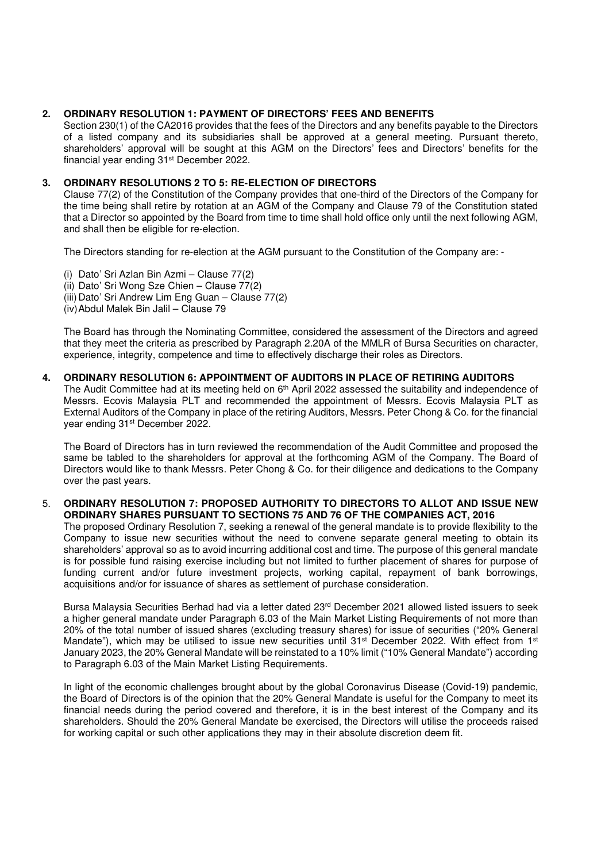## **2. ORDINARY RESOLUTION 1: PAYMENT OF DIRECTORS' FEES AND BENEFITS**

Section 230(1) of the CA2016 provides that the fees of the Directors and any benefits payable to the Directors of a listed company and its subsidiaries shall be approved at a general meeting. Pursuant thereto, shareholders' approval will be sought at this AGM on the Directors' fees and Directors' benefits for the financial year ending 31st December 2022.

## **3. ORDINARY RESOLUTIONS 2 TO 5: RE-ELECTION OF DIRECTORS**

Clause 77(2) of the Constitution of the Company provides that one-third of the Directors of the Company for the time being shall retire by rotation at an AGM of the Company and Clause 79 of the Constitution stated that a Director so appointed by the Board from time to time shall hold office only until the next following AGM, and shall then be eligible for re-election.

The Directors standing for re-election at the AGM pursuant to the Constitution of the Company are: -

(i) Dato' Sri Azlan Bin Azmi – Clause 77(2) (ii) Dato' Sri Wong Sze Chien – Clause  $77(2)$ (iii) Dato' Sri Andrew Lim Eng Guan – Clause 77(2) (iv) Abdul Malek Bin Jalil – Clause 79

The Board has through the Nominating Committee, considered the assessment of the Directors and agreed that they meet the criteria as prescribed by Paragraph 2.20A of the MMLR of Bursa Securities on character, experience, integrity, competence and time to effectively discharge their roles as Directors.

# **4. ORDINARY RESOLUTION 6: APPOINTMENT OF AUDITORS IN PLACE OF RETIRING AUDITORS**

The Audit Committee had at its meeting held on  $6<sup>th</sup>$  April 2022 assessed the suitability and independence of Messrs. Ecovis Malaysia PLT and recommended the appointment of Messrs. Ecovis Malaysia PLT as External Auditors of the Company in place of the retiring Auditors, Messrs. Peter Chong & Co. for the financial year ending 31st December 2022.

The Board of Directors has in turn reviewed the recommendation of the Audit Committee and proposed the same be tabled to the shareholders for approval at the forthcoming AGM of the Company. The Board of Directors would like to thank Messrs. Peter Chong & Co. for their diligence and dedications to the Company over the past years.

#### 5. **ORDINARY RESOLUTION 7: PROPOSED AUTHORITY TO DIRECTORS TO ALLOT AND ISSUE NEW ORDINARY SHARES PURSUANT TO SECTIONS 75 AND 76 OF THE COMPANIES ACT, 2016**

The proposed Ordinary Resolution 7, seeking a renewal of the general mandate is to provide flexibility to the Company to issue new securities without the need to convene separate general meeting to obtain its shareholders' approval so as to avoid incurring additional cost and time. The purpose of this general mandate is for possible fund raising exercise including but not limited to further placement of shares for purpose of funding current and/or future investment projects, working capital, repayment of bank borrowings, acquisitions and/or for issuance of shares as settlement of purchase consideration.

Bursa Malaysia Securities Berhad had via a letter dated 23<sup>rd</sup> December 2021 allowed listed issuers to seek a higher general mandate under Paragraph 6.03 of the Main Market Listing Requirements of not more than 20% of the total number of issued shares (excluding treasury shares) for issue of securities ("20% General Mandate"), which may be utilised to issue new securities until 31<sup>st</sup> December 2022. With effect from 1<sup>st</sup> January 2023, the 20% General Mandate will be reinstated to a 10% limit ("10% General Mandate") according to Paragraph 6.03 of the Main Market Listing Requirements.

In light of the economic challenges brought about by the global Coronavirus Disease (Covid-19) pandemic, the Board of Directors is of the opinion that the 20% General Mandate is useful for the Company to meet its financial needs during the period covered and therefore, it is in the best interest of the Company and its shareholders. Should the 20% General Mandate be exercised, the Directors will utilise the proceeds raised for working capital or such other applications they may in their absolute discretion deem fit.